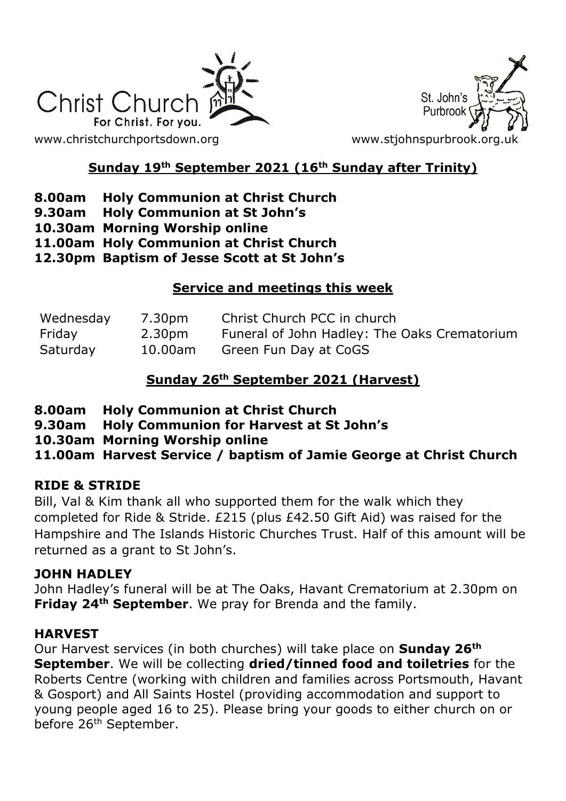

St. John's Purbroo

# **Sunday 19th September 2021 (16th Sunday after Trinity)**

## **8.00am Holy Communion at Christ Church**

- **9.30am Holy Communion at St John's**
- **10.30am Morning Worship online**

**11.00am Holy Communion at Christ Church**

**12.30pm Baptism of Jesse Scott at St John's**

### **Service and meetings this week**

| Wednesday | 7.30pm     | Christ Church PCC in church                  |
|-----------|------------|----------------------------------------------|
| Friday    | 2.30pm     | Funeral of John Hadley: The Oaks Crematorium |
| Saturday  | $10.00$ am | Green Fun Day at CoGS                        |

## **Sunday 26th September 2021 (Harvest)**

- **8.00am Holy Communion at Christ Church**
- **9.30am Holy Communion for Harvest at St John's**
- **10.30am Morning Worship online**

**11.00am Harvest Service / baptism of Jamie George at Christ Church**

### **RIDE & STRIDE**

Bill, Val & Kim thank all who supported them for the walk which they completed for Ride & Stride. £215 (plus £42.50 Gift Aid) was raised for the Hampshire and The Islands Historic Churches Trust. Half of this amount will be returned as a grant to St John's.

### **JOHN HADLEY**

John Hadley's funeral will be at The Oaks, Havant Crematorium at 2.30pm on **Friday 24th September**. We pray for Brenda and the family.

### **HARVEST**

Our Harvest services (in both churches) will take place on **Sunday 26th September**. We will be collecting **dried/tinned food and toiletries** for the Roberts Centre (working with children and families across Portsmouth, Havant & Gosport) and All Saints Hostel (providing accommodation and support to young people aged 16 to 25). Please bring your goods to either church on or before 26<sup>th</sup> September.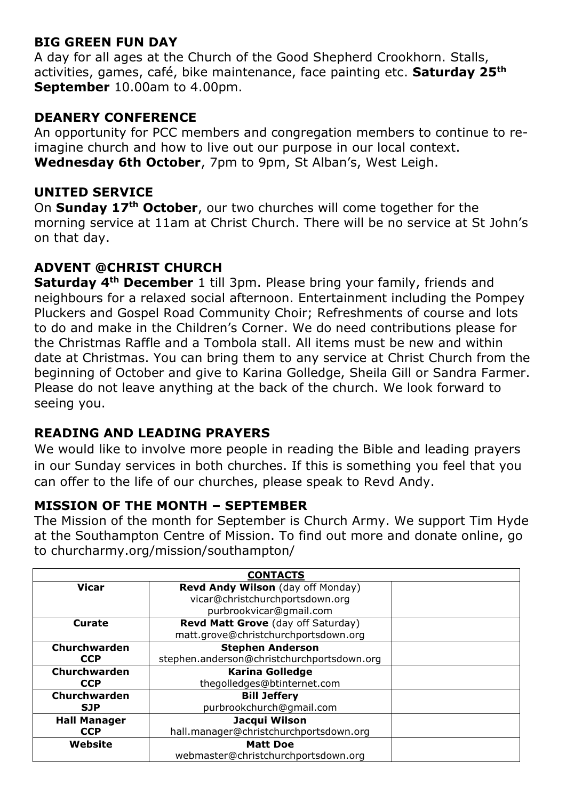### **BIG GREEN FUN DAY**

A day for all ages at the Church of the Good Shepherd Crookhorn. Stalls, activities, games, café, bike maintenance, face painting etc. **Saturday 25th September** 10.00am to 4.00pm.

### **DEANERY CONFERENCE**

An opportunity for PCC members and congregation members to continue to reimagine church and how to live out our purpose in our local context. **Wednesday 6th October**, 7pm to 9pm, St Alban's, West Leigh.

#### **UNITED SERVICE**

On **Sunday 17th October**, our two churches will come together for the morning service at 11am at Christ Church. There will be no service at St John's on that day.

### **ADVENT @CHRIST CHURCH**

**Saturday 4th December** 1 till 3pm. Please bring your family, friends and neighbours for a relaxed social afternoon. Entertainment including the Pompey Pluckers and Gospel Road Community Choir; Refreshments of course and lots to do and make in the Children's Corner. We do need contributions please for the Christmas Raffle and a Tombola stall. All items must be new and within date at Christmas. You can bring them to any service at Christ Church from the beginning of October and give to Karina Golledge, Sheila Gill or Sandra Farmer. Please do not leave anything at the back of the church. We look forward to seeing you.

### **READING AND LEADING PRAYERS**

We would like to involve more people in reading the Bible and leading prayers in our Sunday services in both churches. If this is something you feel that you can offer to the life of our churches, please speak to Revd Andy.

### **MISSION OF THE MONTH – SEPTEMBER**

The Mission of the month for September is Church Army. We support Tim Hyde at the Southampton Centre of Mission. To find out more and donate online, go to churcharmy.org/mission/southampton/

| <b>CONTACTS</b>     |                                            |  |  |
|---------------------|--------------------------------------------|--|--|
| <b>Vicar</b>        | Revd Andy Wilson (day off Monday)          |  |  |
|                     | vicar@christchurchportsdown.org            |  |  |
|                     | purbrookvicar@gmail.com                    |  |  |
| Curate              | Revd Matt Grove (day off Saturday)         |  |  |
|                     | matt.grove@christchurchportsdown.org       |  |  |
| Churchwarden        | <b>Stephen Anderson</b>                    |  |  |
| <b>CCP</b>          | stephen.anderson@christchurchportsdown.org |  |  |
| Churchwarden        | <b>Karina Golledge</b>                     |  |  |
| <b>CCP</b>          | thegolledges@btinternet.com                |  |  |
| Churchwarden        | <b>Bill Jeffery</b>                        |  |  |
| <b>SJP</b>          | purbrookchurch@qmail.com                   |  |  |
| <b>Hall Manager</b> | Jacqui Wilson                              |  |  |
| <b>CCP</b>          | hall.manager@christchurchportsdown.org     |  |  |
| Website             | <b>Matt Doe</b>                            |  |  |
|                     | webmaster@christchurchportsdown.org        |  |  |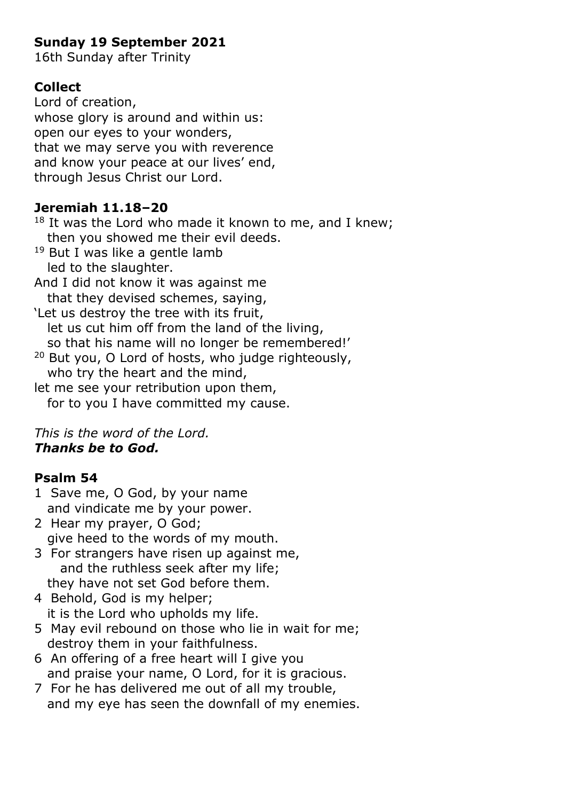# **Sunday 19 September 2021**

16th Sunday after Trinity

## **Collect**

Lord of creation, whose glory is around and within us: open our eyes to your wonders, that we may serve you with reverence and know your peace at our lives' end, through Jesus Christ our Lord.

### **Jeremiah 11.18–20**

 $18$  It was the Lord who made it known to me, and I knew; then you showed me their evil deeds.

- <sup>19</sup> But I was like a gentle lamb led to the slaughter.
- And I did not know it was against me that they devised schemes, saying,

'Let us destroy the tree with its fruit, let us cut him off from the land of the living, so that his name will no longer be remembered!'

- <sup>20</sup> But you, O Lord of hosts, who judge righteously, who try the heart and the mind,
- let me see your retribution upon them, for to you I have committed my cause.

#### *This is the word of the Lord. Thanks be to God.*

## **Psalm 54**

- 1 Save me, O God, by your name and vindicate me by your power.
- 2 Hear my prayer, O God; give heed to the words of my mouth.
- 3 For strangers have risen up against me, and the ruthless seek after my life; they have not set God before them.
- 4 Behold, God is my helper; it is the Lord who upholds my life.
- 5 May evil rebound on those who lie in wait for me; destroy them in your faithfulness.
- 6 An offering of a free heart will I give you and praise your name, O Lord, for it is gracious.
- 7 For he has delivered me out of all my trouble, and my eye has seen the downfall of my enemies.